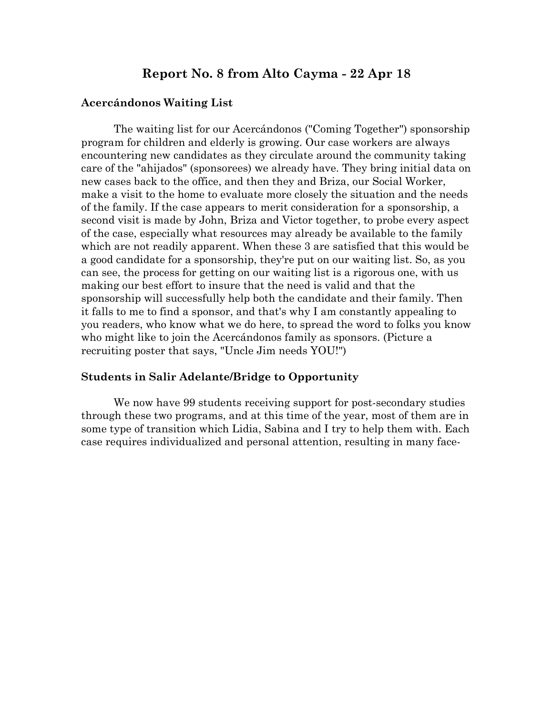# **Report No. 8 from Alto Cayma - 22 Apr 18**

#### **Acercándonos Waiting List**

The waiting list for our Acercándonos ("Coming Together") sponsorship program for children and elderly is growing. Our case workers are always encountering new candidates as they circulate around the community taking care of the "ahijados" (sponsorees) we already have. They bring initial data on new cases back to the office, and then they and Briza, our Social Worker, make a visit to the home to evaluate more closely the situation and the needs of the family. If the case appears to merit consideration for a sponsorship, a second visit is made by John, Briza and Victor together, to probe every aspect of the case, especially what resources may already be available to the family which are not readily apparent. When these 3 are satisfied that this would be a good candidate for a sponsorship, they're put on our waiting list. So, as you can see, the process for getting on our waiting list is a rigorous one, with us making our best effort to insure that the need is valid and that the sponsorship will successfully help both the candidate and their family. Then it falls to me to find a sponsor, and that's why I am constantly appealing to you readers, who know what we do here, to spread the word to folks you know who might like to join the Acercándonos family as sponsors. (Picture a recruiting poster that says, "Uncle Jim needs YOU!")

#### **Students in Salir Adelante/Bridge to Opportunity**

We now have 99 students receiving support for post-secondary studies through these two programs, and at this time of the year, most of them are in some type of transition which Lidia, Sabina and I try to help them with. Each case requires individualized and personal attention, resulting in many face-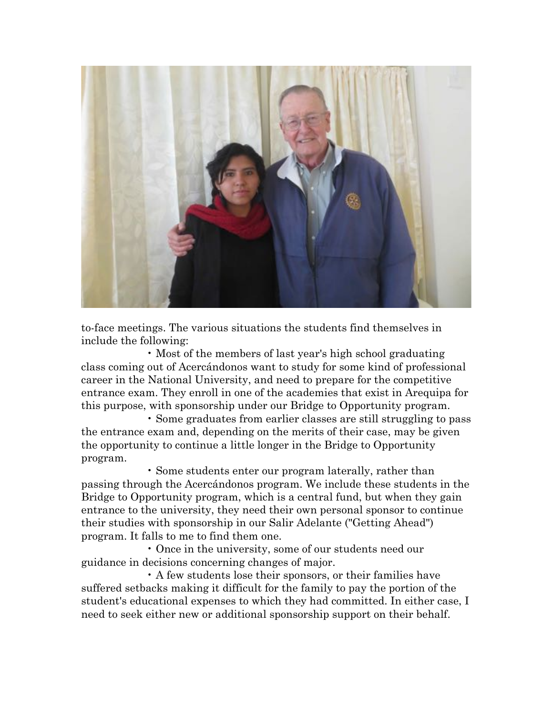

to-face meetings. The various situations the students find themselves in include the following:

• Most of the members of last year's high school graduating class coming out of Acercándonos want to study for some kind of professional career in the National University, and need to prepare for the competitive entrance exam. They enroll in one of the academies that exist in Arequipa for this purpose, with sponsorship under our Bridge to Opportunity program.

• Some graduates from earlier classes are still struggling to pass the entrance exam and, depending on the merits of their case, may be given the opportunity to continue a little longer in the Bridge to Opportunity program.

• Some students enter our program laterally, rather than passing through the Acercándonos program. We include these students in the Bridge to Opportunity program, which is a central fund, but when they gain entrance to the university, they need their own personal sponsor to continue their studies with sponsorship in our Salir Adelante ("Getting Ahead") program. It falls to me to find them one.

• Once in the university, some of our students need our guidance in decisions concerning changes of major.

• A few students lose their sponsors, or their families have suffered setbacks making it difficult for the family to pay the portion of the student's educational expenses to which they had committed. In either case, I need to seek either new or additional sponsorship support on their behalf.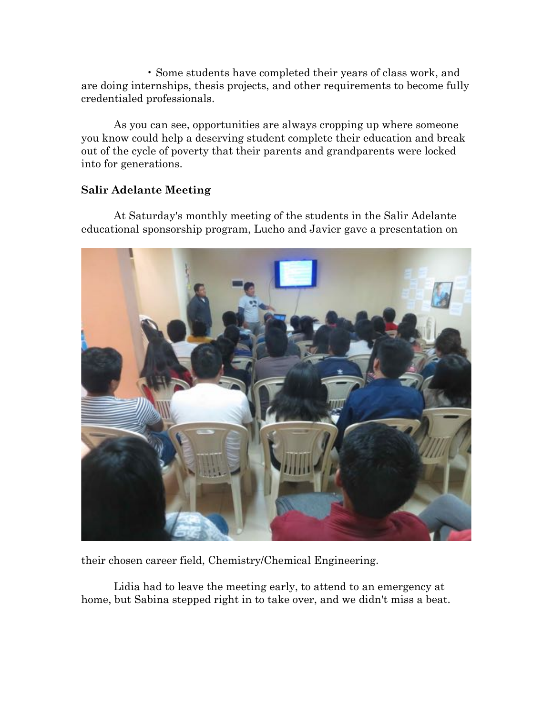• Some students have completed their years of class work, and are doing internships, thesis projects, and other requirements to become fully credentialed professionals.

As you can see, opportunities are always cropping up where someone you know could help a deserving student complete their education and break out of the cycle of poverty that their parents and grandparents were locked into for generations.

## **Salir Adelante Meeting**

At Saturday's monthly meeting of the students in the Salir Adelante educational sponsorship program, Lucho and Javier gave a presentation on



their chosen career field, Chemistry/Chemical Engineering.

Lidia had to leave the meeting early, to attend to an emergency at home, but Sabina stepped right in to take over, and we didn't miss a beat.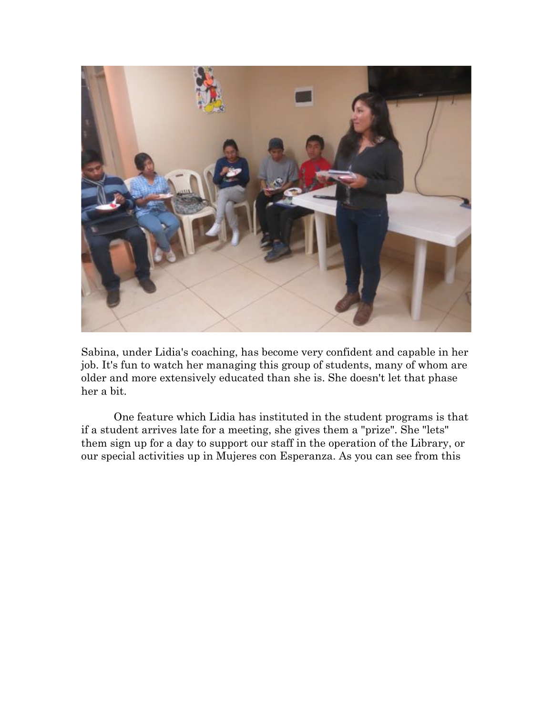

Sabina, under Lidia's coaching, has become very confident and capable in her job. It's fun to watch her managing this group of students, many of whom are older and more extensively educated than she is. She doesn't let that phase her a bit.

One feature which Lidia has instituted in the student programs is that if a student arrives late for a meeting, she gives them a "prize". She "lets" them sign up for a day to support our staff in the operation of the Library, or our special activities up in Mujeres con Esperanza. As you can see from this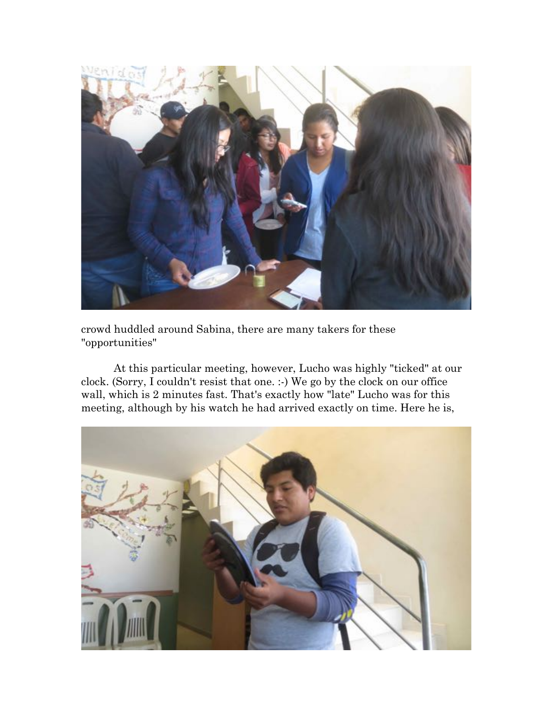

crowd huddled around Sabina, there are many takers for these "opportunities"

At this particular meeting, however, Lucho was highly "ticked" at our clock. (Sorry, I couldn't resist that one. :-) We go by the clock on our office wall, which is 2 minutes fast. That's exactly how "late" Lucho was for this meeting, although by his watch he had arrived exactly on time. Here he is,

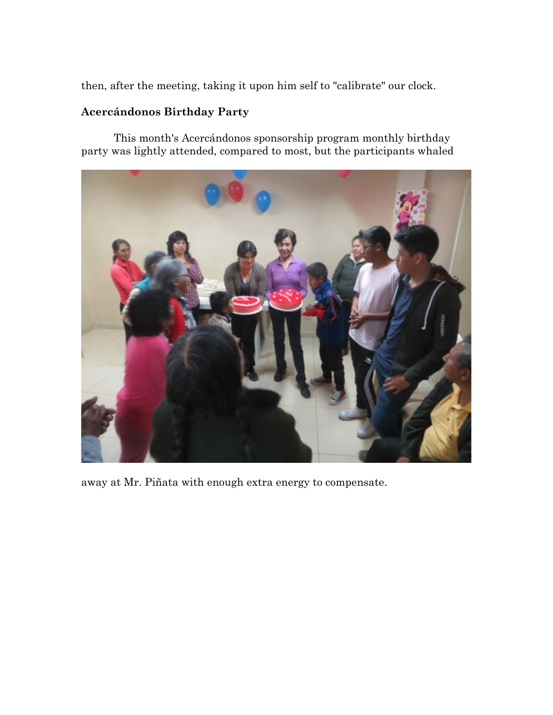then, after the meeting, taking it upon him self to "calibrate" our clock.

## **Acercándonos Birthday Party**

This month's Acercándonos sponsorship program monthly birthday party was lightly attended, compared to most, but the participants whaled



away at Mr. Piñata with enough extra energy to compensate.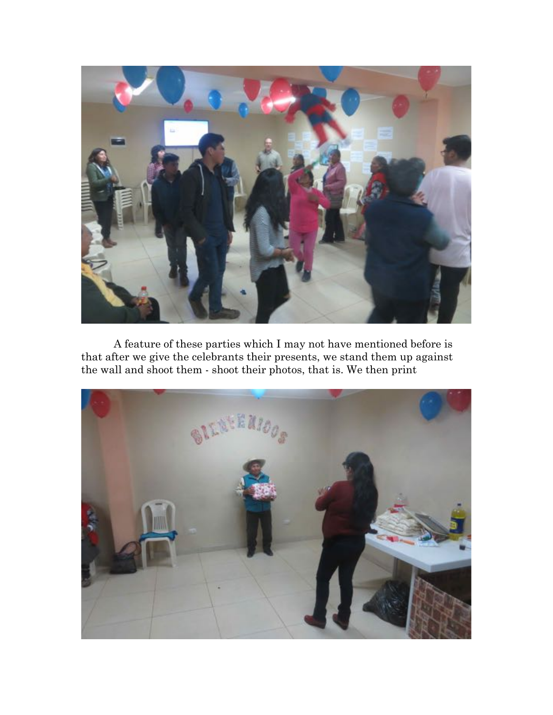

A feature of these parties which I may not have mentioned before is that after we give the celebrants their presents, we stand them up against the wall and shoot them - shoot their photos, that is. We then print

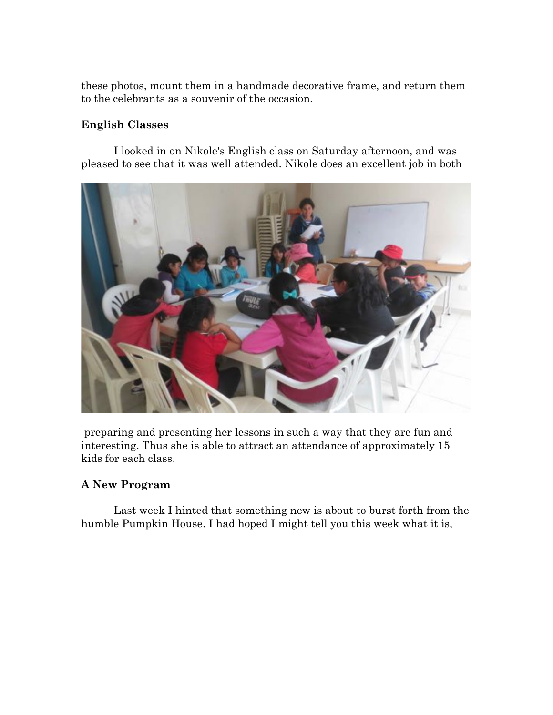these photos, mount them in a handmade decorative frame, and return them to the celebrants as a souvenir of the occasion.

## **English Classes**

I looked in on Nikole's English class on Saturday afternoon, and was pleased to see that it was well attended. Nikole does an excellent job in both



preparing and presenting her lessons in such a way that they are fun and interesting. Thus she is able to attract an attendance of approximately 15 kids for each class.

## **A New Program**

Last week I hinted that something new is about to burst forth from the humble Pumpkin House. I had hoped I might tell you this week what it is,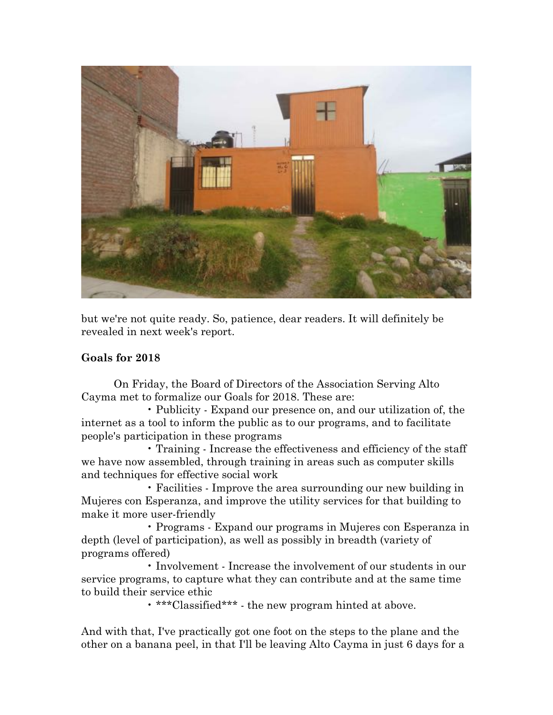

but we're not quite ready. So, patience, dear readers. It will definitely be revealed in next week's report.

#### **Goals for 2018**

On Friday, the Board of Directors of the Association Serving Alto Cayma met to formalize our Goals for 2018. These are:

• Publicity - Expand our presence on, and our utilization of, the internet as a tool to inform the public as to our programs, and to facilitate people's participation in these programs

• Training - Increase the effectiveness and efficiency of the staff we have now assembled, through training in areas such as computer skills and techniques for effective social work

• Facilities - Improve the area surrounding our new building in Mujeres con Esperanza, and improve the utility services for that building to make it more user-friendly

• Programs - Expand our programs in Mujeres con Esperanza in depth (level of participation), as well as possibly in breadth (variety of programs offered)

• Involvement - Increase the involvement of our students in our service programs, to capture what they can contribute and at the same time to build their service ethic

• \*\*\*Classified\*\*\* - the new program hinted at above.

And with that, I've practically got one foot on the steps to the plane and the other on a banana peel, in that I'll be leaving Alto Cayma in just 6 days for a